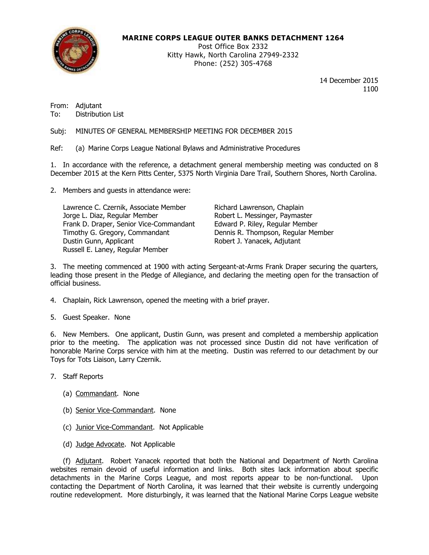

# **MARINE CORPS LEAGUE OUTER BANKS DETACHMENT 1264**

Post Office Box 2332 Kitty Hawk, North Carolina 27949-2332 Phone: (252) 305-4768

> 14 December 2015 1100

From: Adjutant To: Distribution List

Subj: MINUTES OF GENERAL MEMBERSHIP MEETING FOR DECEMBER 2015

Ref: (a) Marine Corps League National Bylaws and Administrative Procedures

1. In accordance with the reference, a detachment general membership meeting was conducted on 8 December 2015 at the Kern Pitts Center, 5375 North Virginia Dare Trail, Southern Shores, North Carolina.

2. Members and guests in attendance were:

Lawrence C. Czernik, Associate Member Richard Lawrenson, Chaplain<br>Jorge L. Diaz, Regular Member Robert L. Messinger, Paymast Frank D. Draper, Senior Vice-Commandant Timothy G. Gregory, Commandant Dennis R. Thompson, Regular Member Dustin Gunn, Applicant **Robert J. Yanacek, Adjutant** Russell E. Laney, Regular Member

Robert L. Messinger, Paymaster<br>Edward P. Riley, Regular Member

3. The meeting commenced at 1900 with acting Sergeant-at-Arms Frank Draper securing the quarters, leading those present in the Pledge of Allegiance, and declaring the meeting open for the transaction of official business.

- 4. Chaplain, Rick Lawrenson, opened the meeting with a brief prayer.
- 5. Guest Speaker. None

6. New Members. One applicant, Dustin Gunn, was present and completed a membership application prior to the meeting. The application was not processed since Dustin did not have verification of honorable Marine Corps service with him at the meeting. Dustin was referred to our detachment by our Toys for Tots Liaison, Larry Czernik.

- 7. Staff Reports
	- (a) Commandant. None
	- (b) Senior Vice-Commandant. None
	- (c) Junior Vice-Commandant. Not Applicable
	- (d) Judge Advocate. Not Applicable

(f) Adjutant. Robert Yanacek reported that both the National and Department of North Carolina websites remain devoid of useful information and links. Both sites lack information about specific detachments in the Marine Corps League, and most reports appear to be non-functional. Upon contacting the Department of North Carolina, it was learned that their website is currently undergoing routine redevelopment. More disturbingly, it was learned that the National Marine Corps League website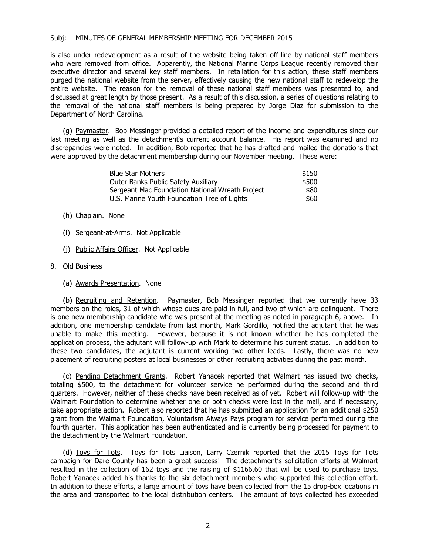## Subj: MINUTES OF GENERAL MEMBERSHIP MEETING FOR DECEMBER 2015

is also under redevelopment as a result of the website being taken off-line by national staff members who were removed from office. Apparently, the National Marine Corps League recently removed their executive director and several key staff members. In retaliation for this action, these staff members purged the national website from the server, effectively causing the new national staff to redevelop the entire website. The reason for the removal of these national staff members was presented to, and discussed at great length by those present. As a result of this discussion, a series of questions relating to the removal of the national staff members is being prepared by Jorge Diaz for submission to the Department of North Carolina.

(g) Paymaster. Bob Messinger provided a detailed report of the income and expenditures since our last meeting as well as the detachment's current account balance. His report was examined and no discrepancies were noted. In addition, Bob reported that he has drafted and mailed the donations that were approved by the detachment membership during our November meeting. These were:

| <b>Blue Star Mothers</b>                        | \$150 |
|-------------------------------------------------|-------|
| <b>Outer Banks Public Safety Auxiliary</b>      | \$500 |
| Sergeant Mac Foundation National Wreath Project | \$80  |
| U.S. Marine Youth Foundation Tree of Lights     | \$60  |

- (h) Chaplain. None
- (i) Sergeant-at-Arms. Not Applicable
- (j) Public Affairs Officer. Not Applicable
- 8. Old Business
	- (a) Awards Presentation. None

(b) Recruiting and Retention. Paymaster, Bob Messinger reported that we currently have 33 members on the roles, 31 of which whose dues are paid-in-full, and two of which are delinquent. There is one new membership candidate who was present at the meeting as noted in paragraph 6, above. In addition, one membership candidate from last month, Mark Gordillo, notified the adjutant that he was unable to make this meeting. However, because it is not known whether he has completed the application process, the adjutant will follow-up with Mark to determine his current status. In addition to these two candidates, the adjutant is current working two other leads. Lastly, there was no new placement of recruiting posters at local businesses or other recruiting activities during the past month.

(c) Pending Detachment Grants. Robert Yanacek reported that Walmart has issued two checks, totaling \$500, to the detachment for volunteer service he performed during the second and third quarters. However, neither of these checks have been received as of yet. Robert will follow-up with the Walmart Foundation to determine whether one or both checks were lost in the mail, and if necessary, take appropriate action. Robert also reported that he has submitted an application for an additional \$250 grant from the Walmart Foundation, Voluntarism Always Pays program for service performed during the fourth quarter. This application has been authenticated and is currently being processed for payment to the detachment by the Walmart Foundation.

(d) Toys for Tots. Toys for Tots Liaison, Larry Czernik reported that the 2015 Toys for Tots campaign for Dare County has been a great success! The detachment's solicitation efforts at Walmart resulted in the collection of 162 toys and the raising of \$1166.60 that will be used to purchase toys. Robert Yanacek added his thanks to the six detachment members who supported this collection effort. In addition to these efforts, a large amount of toys have been collected from the 15 drop-box locations in the area and transported to the local distribution centers. The amount of toys collected has exceeded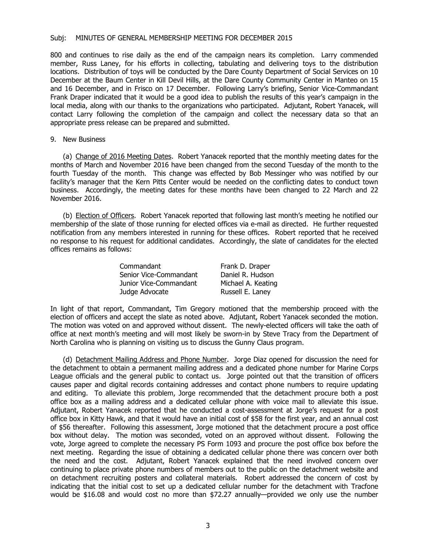## Subj: MINUTES OF GENERAL MEMBERSHIP MEETING FOR DECEMBER 2015

800 and continues to rise daily as the end of the campaign nears its completion. Larry commended member, Russ Laney, for his efforts in collecting, tabulating and delivering toys to the distribution locations. Distribution of toys will be conducted by the Dare County Department of Social Services on 10 December at the Baum Center in Kill Devil Hills, at the Dare County Community Center in Manteo on 15 and 16 December, and in Frisco on 17 December. Following Larry's briefing, Senior Vice-Commandant Frank Draper indicated that it would be a good idea to publish the results of this year's campaign in the local media, along with our thanks to the organizations who participated. Adjutant, Robert Yanacek, will contact Larry following the completion of the campaign and collect the necessary data so that an appropriate press release can be prepared and submitted.

# 9. New Business

(a) Change of 2016 Meeting Dates. Robert Yanacek reported that the monthly meeting dates for the months of March and November 2016 have been changed from the second Tuesday of the month to the fourth Tuesday of the month. This change was effected by Bob Messinger who was notified by our facility's manager that the Kern Pitts Center would be needed on the conflicting dates to conduct town business. Accordingly, the meeting dates for these months have been changed to 22 March and 22 November 2016.

(b) Election of Officers. Robert Yanacek reported that following last month's meeting he notified our membership of the slate of those running for elected offices via e-mail as directed. He further requested notification from any members interested in running for these offices. Robert reported that he received no response to his request for additional candidates. Accordingly, the slate of candidates for the elected offices remains as follows:

| Commandant             | Frank D. Draper    |
|------------------------|--------------------|
| Senior Vice-Commandant | Daniel R. Hudson   |
| Junior Vice-Commandant | Michael A. Keating |
| Judge Advocate         | Russell E. Laney   |

In light of that report, Commandant, Tim Gregory motioned that the membership proceed with the election of officers and accept the slate as noted above. Adjutant, Robert Yanacek seconded the motion. The motion was voted on and approved without dissent. The newly-elected officers will take the oath of office at next month's meeting and will most likely be sworn-in by Steve Tracy from the Department of North Carolina who is planning on visiting us to discuss the Gunny Claus program.

(d) Detachment Mailing Address and Phone Number. Jorge Diaz opened for discussion the need for the detachment to obtain a permanent mailing address and a dedicated phone number for Marine Corps League officials and the general public to contact us. Jorge pointed out that the transition of officers causes paper and digital records containing addresses and contact phone numbers to require updating and editing. To alleviate this problem, Jorge recommended that the detachment procure both a post office box as a mailing address and a dedicated cellular phone with voice mail to alleviate this issue. Adjutant, Robert Yanacek reported that he conducted a cost-assessment at Jorge's request for a post office box in Kitty Hawk, and that it would have an initial cost of \$58 for the first year, and an annual cost of \$56 thereafter. Following this assessment, Jorge motioned that the detachment procure a post office box without delay. The motion was seconded, voted on an approved without dissent. Following the vote, Jorge agreed to complete the necessary PS Form 1093 and procure the post office box before the next meeting. Regarding the issue of obtaining a dedicated cellular phone there was concern over both the need and the cost. Adjutant, Robert Yanacek explained that the need involved concern over continuing to place private phone numbers of members out to the public on the detachment website and on detachment recruiting posters and collateral materials. Robert addressed the concern of cost by indicating that the initial cost to set up a dedicated cellular number for the detachment with Tracfone would be \$16.08 and would cost no more than \$72.27 annually—provided we only use the number